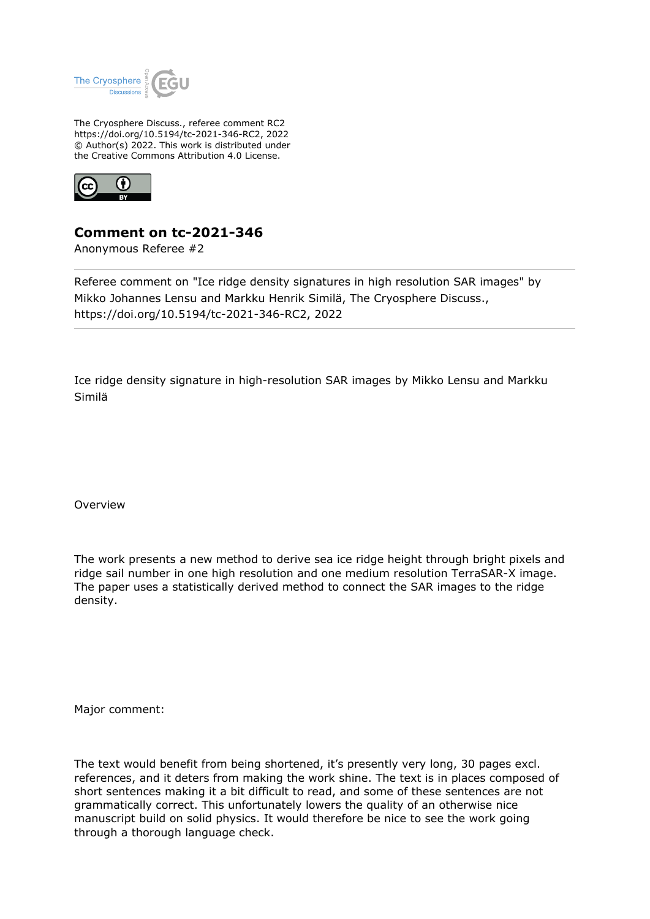

The Cryosphere Discuss., referee comment RC2 https://doi.org/10.5194/tc-2021-346-RC2, 2022 © Author(s) 2022. This work is distributed under the Creative Commons Attribution 4.0 License.



## **Comment on tc-2021-346**

Anonymous Referee #2

Referee comment on "Ice ridge density signatures in high resolution SAR images" by Mikko Johannes Lensu and Markku Henrik Similä, The Cryosphere Discuss., https://doi.org/10.5194/tc-2021-346-RC2, 2022

Ice ridge density signature in high-resolution SAR images by Mikko Lensu and Markku Similä

Overview

The work presents a new method to derive sea ice ridge height through bright pixels and ridge sail number in one high resolution and one medium resolution TerraSAR-X image. The paper uses a statistically derived method to connect the SAR images to the ridge density.

Major comment:

The text would benefit from being shortened, it's presently very long, 30 pages excl. references, and it deters from making the work shine. The text is in places composed of short sentences making it a bit difficult to read, and some of these sentences are not grammatically correct. This unfortunately lowers the quality of an otherwise nice manuscript build on solid physics. It would therefore be nice to see the work going through a thorough language check.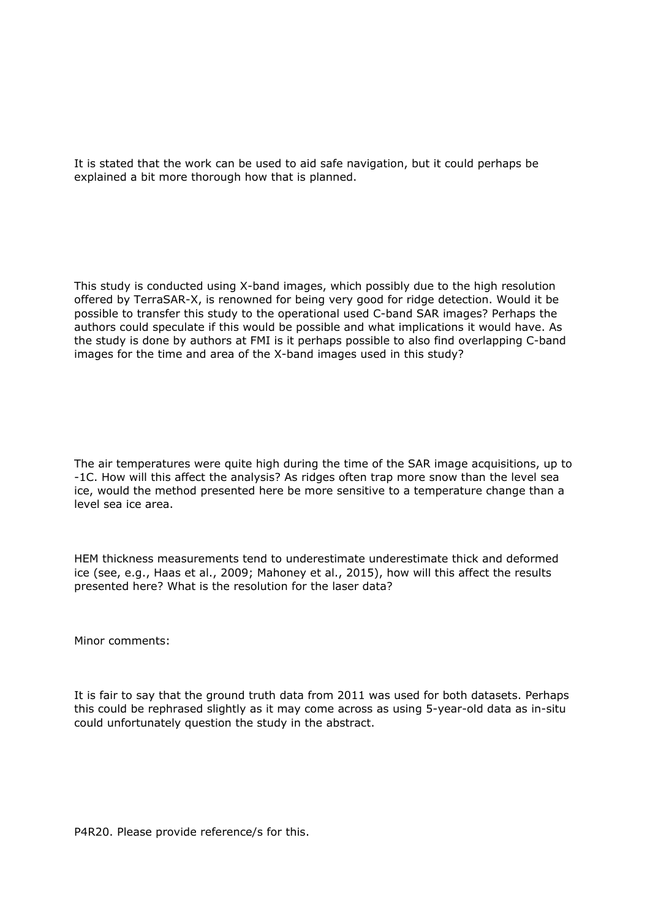It is stated that the work can be used to aid safe navigation, but it could perhaps be explained a bit more thorough how that is planned.

This study is conducted using X-band images, which possibly due to the high resolution offered by TerraSAR-X, is renowned for being very good for ridge detection. Would it be possible to transfer this study to the operational used C-band SAR images? Perhaps the authors could speculate if this would be possible and what implications it would have. As the study is done by authors at FMI is it perhaps possible to also find overlapping C-band images for the time and area of the X-band images used in this study?

The air temperatures were quite high during the time of the SAR image acquisitions, up to -1C. How will this affect the analysis? As ridges often trap more snow than the level sea ice, would the method presented here be more sensitive to a temperature change than a level sea ice area.

HEM thickness measurements tend to underestimate underestimate thick and deformed ice (see, e.g., Haas et al., 2009; Mahoney et al., 2015), how will this affect the results presented here? What is the resolution for the laser data?

Minor comments:

It is fair to say that the ground truth data from 2011 was used for both datasets. Perhaps this could be rephrased slightly as it may come across as using 5-year-old data as in-situ could unfortunately question the study in the abstract.

P4R20. Please provide reference/s for this.